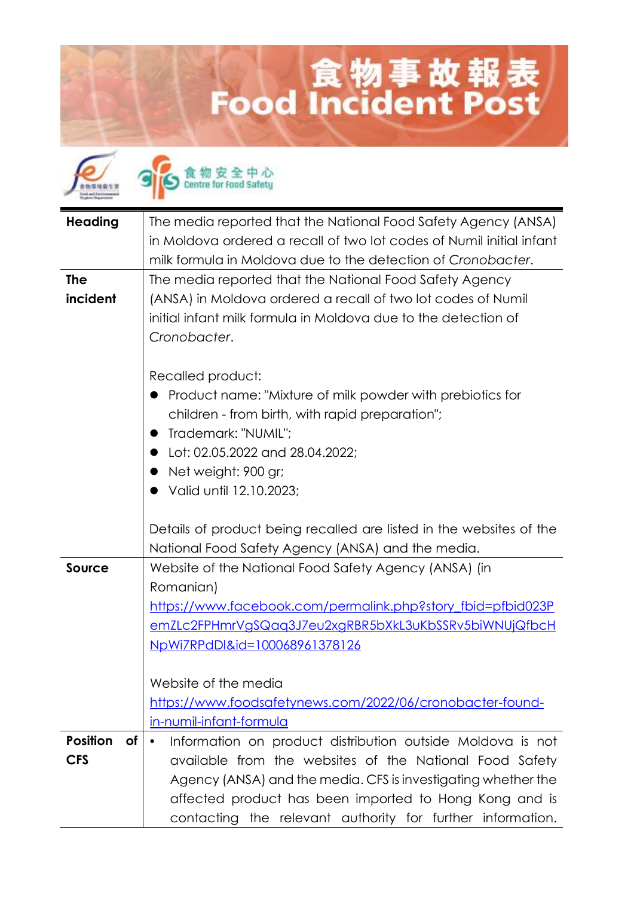## 食物事故報表<br>Food Incident Post



食物安全中心<br>Centre for food Safety

| <b>Heading</b>        | The media reported that the National Food Safety Agency (ANSA)          |
|-----------------------|-------------------------------------------------------------------------|
|                       | in Moldova ordered a recall of two lot codes of Numil initial infant    |
|                       | milk formula in Moldova due to the detection of Cronobacter.            |
| <b>The</b>            | The media reported that the National Food Safety Agency                 |
| incident              | (ANSA) in Moldova ordered a recall of two lot codes of Numil            |
|                       | initial infant milk formula in Moldova due to the detection of          |
|                       | Cronobacter.                                                            |
|                       |                                                                         |
|                       | Recalled product:                                                       |
|                       | Product name: "Mixture of milk powder with prebiotics for               |
|                       | children - from birth, with rapid preparation";                         |
|                       | Trademark: "NUMIL":                                                     |
|                       | Lot: 02.05.2022 and 28.04.2022:                                         |
|                       | Net weight: 900 gr;                                                     |
|                       | Valid until 12.10.2023;                                                 |
|                       |                                                                         |
|                       | Details of product being recalled are listed in the websites of the     |
|                       | National Food Safety Agency (ANSA) and the media.                       |
| <b>Source</b>         | Website of the National Food Safety Agency (ANSA) (in                   |
|                       | Romanian)                                                               |
|                       | https://www.facebook.com/permalink.php?story_fbid=pfbid023P             |
|                       | emZLc2FPHmrVgSQaq3J7eu2xgRBR5bXkL3uKbSSRv5biWNUjQfbcH                   |
|                       | <u>NpWi7RPdDI&amp;id=100068961378126</u>                                |
|                       |                                                                         |
|                       | Website of the media                                                    |
|                       | https://www.foodsafetynews.com/2022/06/cronobacter-found-               |
|                       | in-numil-infant-formula                                                 |
| <b>Position</b><br>of | Information on product distribution outside Moldova is not<br>$\bullet$ |
| <b>CFS</b>            | available from the websites of the National Food Safety                 |
|                       | Agency (ANSA) and the media. CFS is investigating whether the           |
|                       | affected product has been imported to Hong Kong and is                  |
|                       | contacting the relevant authority for further information.              |